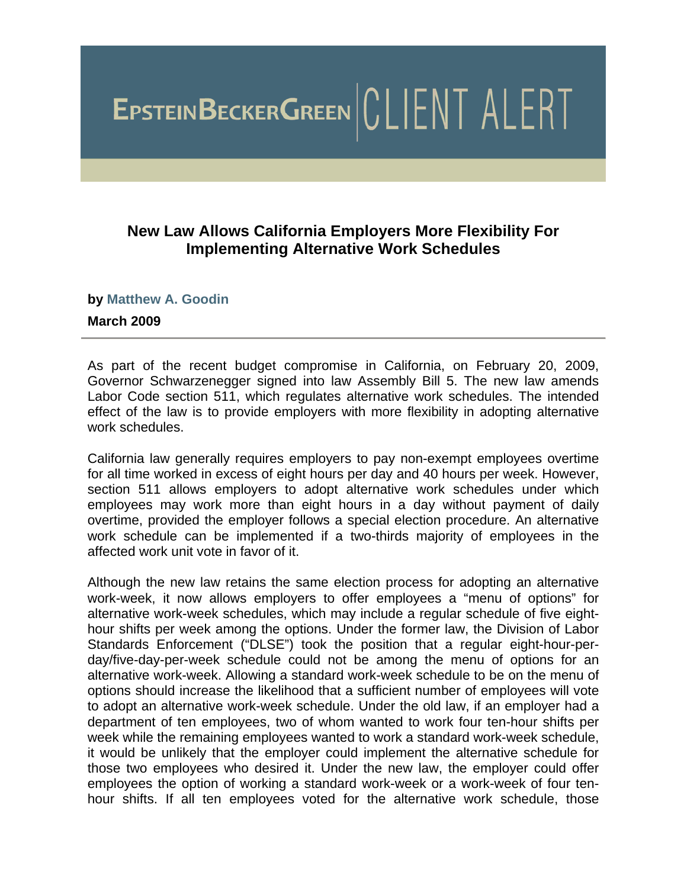# EPSTEINBECKERGREEN CLIENT ALERT

### **New Law Allows California Employers More Flexibility For Implementing Alternative Work Schedules**

#### **by [Matthew A. Goodin](http://www.ebglaw.com/showbio.aspx?Show=2241)**

#### **March 2009**

As part of the recent budget compromise in California, on February 20, 2009, Governor Schwarzenegger signed into law Assembly Bill 5. The new law amends Labor Code section 511, which regulates alternative work schedules. The intended effect of the law is to provide employers with more flexibility in adopting alternative work schedules.

California law generally requires employers to pay non-exempt employees overtime for all time worked in excess of eight hours per day and 40 hours per week. However, section 511 allows employers to adopt alternative work schedules under which employees may work more than eight hours in a day without payment of daily overtime, provided the employer follows a special election procedure. An alternative work schedule can be implemented if a two-thirds majority of employees in the affected work unit vote in favor of it.

Although the new law retains the same election process for adopting an alternative work-week, it now allows employers to offer employees a "menu of options" for alternative work-week schedules, which may include a regular schedule of five eighthour shifts per week among the options. Under the former law, the Division of Labor Standards Enforcement ("DLSE") took the position that a regular eight-hour-perday/five-day-per-week schedule could not be among the menu of options for an alternative work-week. Allowing a standard work-week schedule to be on the menu of options should increase the likelihood that a sufficient number of employees will vote to adopt an alternative work-week schedule. Under the old law, if an employer had a department of ten employees, two of whom wanted to work four ten-hour shifts per week while the remaining employees wanted to work a standard work-week schedule, it would be unlikely that the employer could implement the alternative schedule for those two employees who desired it. Under the new law, the employer could offer employees the option of working a standard work-week or a work-week of four tenhour shifts. If all ten employees voted for the alternative work schedule, those